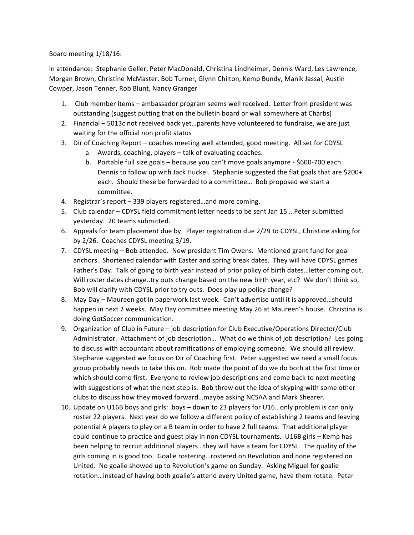Board meeting  $1/18/16$ :

In attendance: Stephanie Geller, Peter MacDonald, Christina Lindheimer, Dennis Ward, Les Lawrence, Morgan Brown, Christine McMaster, Bob Turner, Glynn Chilton, Kemp Bundy, Manik Jassal, Austin Cowper, Jason Tenner, Rob Blunt, Nancy Granger

- 1. Club member items ambassador program seems well received. Letter from president was outstanding (suggest putting that on the bulletin board or wall somewhere at Charbs)
- 2. Financial 5013c not received back yet... parents have volunteered to fundraise, we are just waiting for the official non profit status
- 3. Dir of Coaching Report coaches meeting well attended, good meeting. All set for CDYSL
	- a. Awards, coaching, players talk of evaluating coaches.
	- b. Portable full size goals because you can't move goals anymore \$600-700 each. Dennis to follow up with Jack Huckel. Stephanie suggested the flat goals that are \$200+ each. Should these be forwarded to a committee... Bob proposed we start a committee.
- 4. Registrar's report 339 players registered...and more coming.
- 5. Club calendar CDYSL field commitment letter needs to be sent Jan 15.... Peter submitted yesterday. 20 teams submitted.
- 6. Appeals for team placement due by Player registration due 2/29 to CDYSL, Christine asking for by 2/26. Coaches CDYSL meeting 3/19.
- 7. CDYSL meeting Bob attended. New president Tim Owens. Mentioned grant fund for goal anchors. Shortened calendar with Easter and spring break dates. They will have CDYSL games Father's Day. Talk of going to birth year instead of prior policy of birth dates... letter coming out. Will roster dates change..try outs change based on the new birth year, etc? We don't think so, Bob will clarify with CDYSL prior to try outs. Does play up policy change?
- 8. May Day Maureen got in paperwork last week. Can't advertise until it is approved...should happen in next 2 weeks. May Day committee meeting May 26 at Maureen's house. Christina is doing GotSoccer communication.
- 9. Organization of Club in Future job description for Club Executive/Operations Director/Club Administrator. Attachment of job description... What do we think of job description? Les going to discuss with accountant about ramifications of employing someone. We should all review. Stephanie suggested we focus on Dir of Coaching first. Peter suggested we need a small focus group probably needs to take this on. Rob made the point of do we do both at the first time or which should come first. Everyone to review job descriptions and come back to next meeting with suggestions of what the next step is. Bob threw out the idea of skyping with some other clubs to discuss how they moved forward...maybe asking NCSAA and Mark Shearer.
- 10. Update on U16B boys and girls: boys down to 23 players for U16...only problem is can only roster 22 players. Next year do we follow a different policy of establishing 2 teams and leaving potential A players to play on a B team in order to have 2 full teams. That additional player could continue to practice and guest play in non CDYSL tournaments. U16B girls – Kemp has been helping to recruit additional players...they will have a team for CDYSL. The quality of the girls coming in is good too. Goalie rostering...rostered on Revolution and none registered on United. No goalie showed up to Revolution's game on Sunday. Asking Miguel for goalie rotation...instead of having both goalie's attend every United game, have them rotate. Peter